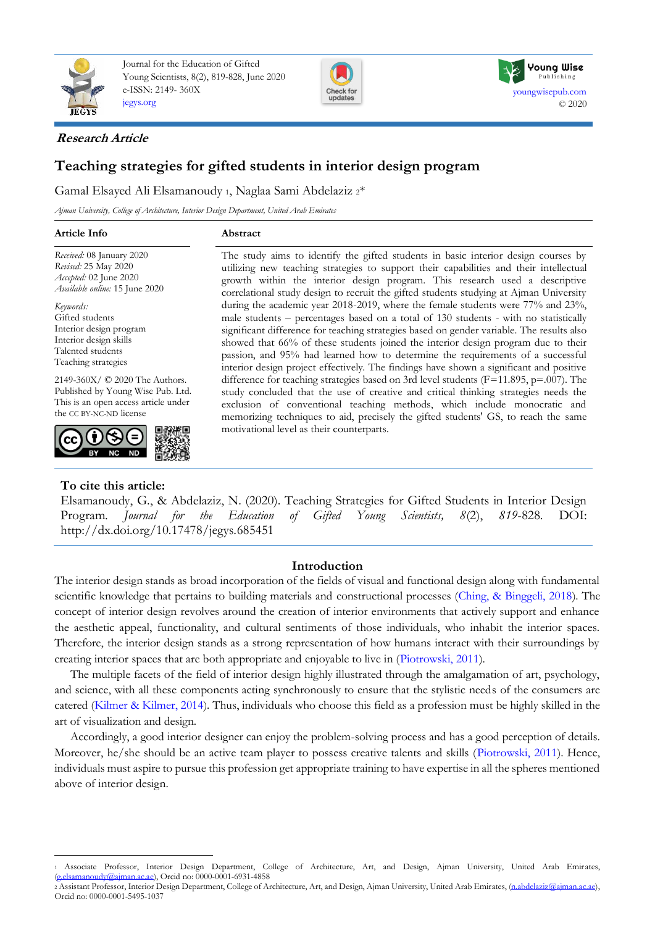

Journal for the Education of Gifted Young Scientists, 8(2), 819-828, June 2020 e-ISSN: 2149- 360X [jegys.org](http://jegys.org/)





## **Research Article**

# **Teaching strategies for gifted students in interior design program**

Gamal Elsayed Ali Elsamanoudy 1, Naglaa Sami Abdelaziz 2\*

*Ajman University, College of Architecture, Interior Design Department, United Arab Emirates*

*Received:* 08 January 2020 *Revised:* 25 May 2020 *Accepted:* 02 June 2020 *Available online:* 15 June 2020

*Keywords:*  Gifted students Interior design program Interior design skills Talented students Teaching strategies

2149-360X/ © 2020 The Authors. Published by Young Wise Pub. Ltd. This is an open access article under the CC BY-NC-ND license



## **To cite this article:**

The study aims to identify the gifted students in basic interior design courses by utilizing new teaching strategies to support their capabilities and their intellectual growth within the interior design program. This research used a descriptive correlational study design to recruit the gifted students studying at Ajman University during the academic year 2018-2019, where the female students were 77% and 23%, male students – percentages based on a total of 130 students - with no statistically significant difference for teaching strategies based on gender variable. The results also showed that 66% of these students joined the interior design program due to their passion, and 95% had learned how to determine the requirements of a successful interior design project effectively. The findings have shown a significant and positive difference for teaching strategies based on 3rd level students (F=11.895, p=.007). The study concluded that the use of creative and critical thinking strategies needs the exclusion of conventional teaching methods, which include monocratic and memorizing techniques to aid, precisely the gifted students' GS, to reach the same motivational level as their counterparts.

Elsamanoudy, G., & Abdelaziz, N. (2020). Teaching Strategies for Gifted Students in Interior Design Program. *Journal for the Education of Gifted Young Scientists, 8*(2), *819*-828. DOI: http://dx.doi.org/10.17478/jegys.685451

## **Introduction**

The interior design stands as broad incorporation of the fields of visual and functional design along with fundamental scientific knowledge that pertains to building materials and constructional processes [\(Ching, & Binggeli, 2018\)](#page-8-0). The concept of interior design revolves around the creation of interior environments that actively support and enhance the aesthetic appeal, functionality, and cultural sentiments of those individuals, who inhabit the interior spaces. Therefore, the interior design stands as a strong representation of how humans interact with their surroundings by creating interior spaces that are both appropriate and enjoyable to live in [\(Piotrowski, 2011\)](#page-8-0).

The multiple facets of the field of interior design highly illustrated through the amalgamation of art, psychology, and science, with all these components acting synchronously to ensure that the stylistic needs of the consumers are catered [\(Kilmer & Kilmer, 2014\)](#page-8-0). Thus, individuals who choose this field as a profession must be highly skilled in the art of visualization and design.

Accordingly, a good interior designer can enjoy the problem-solving process and has a good perception of details. Moreover, he/she should be an active team player to possess creative talents and skills [\(Piotrowski, 2011\)](#page-8-0). Hence, individuals must aspire to pursue this profession get appropriate training to have expertise in all the spheres mentioned above of interior design.

<sup>1</sup> Associate Professor, Interior Design Department, College of Architecture, Art, and Design, Ajman University, United Arab Emirates,  $elsa$ manoudy@ajman.ac.ae), Orcid no: 0000-0001-6931-4858

<sup>2</sup> Assistant Professor, Interior Design Department, College of Architecture, Art, and Design, Ajman University, United Arab Emirates, [\(n.abdelaziz@ajman.ac.ae\),](mailto:n.abdelaziz@ajman.ac.ae) Orcid no: 0000-0001-5495-1037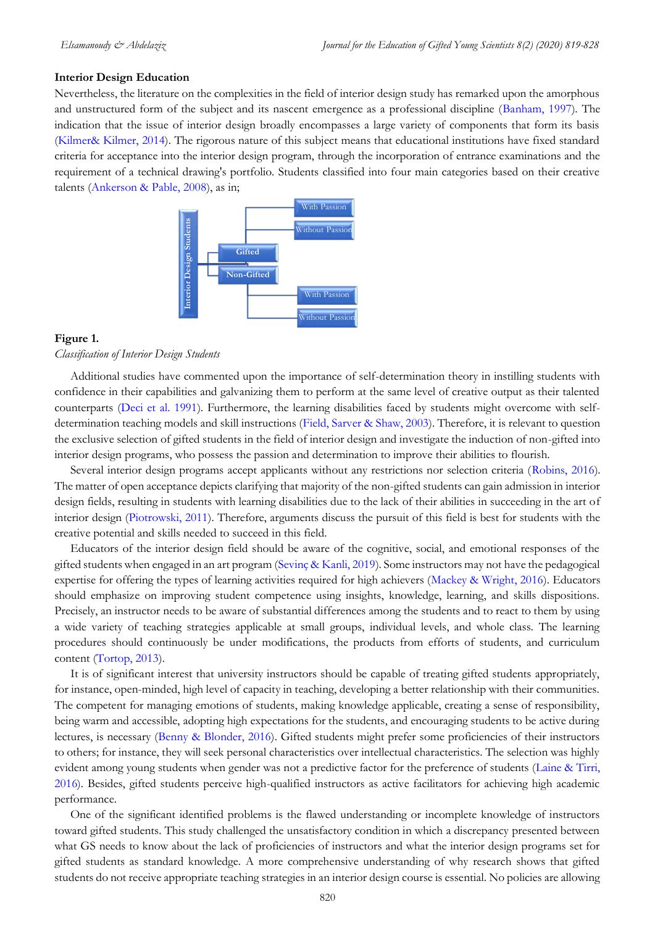#### **Interior Design Education**

Nevertheless, the literature on the complexities in the field of interior design study has remarked upon the amorphous and unstructured form of the subject and its nascent emergence as a professional discipline [\(Banham, 1997\)](#page-8-0). The indication that the issue of interior design broadly encompasses a large variety of components that form its basis [\(Kilmer& Kilmer, 2014\)](#page-8-0). The rigorous nature of this subject means that educational institutions have fixed standard criteria for acceptance into the interior design program, through the incorporation of entrance examinations and the requirement of a technical drawing's portfolio. Students classified into four main categories based on their creative talents [\(Ankerson & Pable, 2008\)](#page-8-0), as in;



#### **Figure 1.**

#### *Classification of Interior Design Students*

Additional studies have commented upon the importance of self-determination theory in instilling students with confidence in their capabilities and galvanizing them to perform at the same level of creative output as their talented counterparts [\(Deci et al. 1991\)](#page-8-0). Furthermore, the learning disabilities faced by students might overcome with selfdetermination teaching models and skill instructions [\(Field, Sarver & Shaw, 2003\)](#page-8-0). Therefore, it is relevant to question the exclusive selection of gifted students in the field of interior design and investigate the induction of non-gifted into interior design programs, who possess the passion and determination to improve their abilities to flourish.

Several interior design programs accept applicants without any restrictions nor selection criteria [\(Robins, 2016\)](#page-8-0). The matter of open acceptance depicts clarifying that majority of the non-gifted students can gain admission in interior design fields, resulting in students with learning disabilities due to the lack of their abilities in succeeding in the art of interior design [\(Piotrowski, 2011\)](#page-8-0). Therefore, arguments discuss the pursuit of this field is best for students with the creative potential and skills needed to succeed in this field.

Educators of the interior design field should be aware of the cognitive, social, and emotional responses of the gifted students when engaged in an art program [\(Sevinç & Kanli, 2019\)](#page-8-0). Some instructors may not have the pedagogical expertise for offering the types of learning activities required for high achievers [\(Mackey & Wright, 2016\)](#page-8-0). Educators should emphasize on improving student competence using insights, knowledge, learning, and skills dispositions. Precisely, an instructor needs to be aware of substantial differences among the students and to react to them by using a wide variety of teaching strategies applicable at small groups, individual levels, and whole class. The learning procedures should continuously be under modifications, the products from efforts of students, and curriculum content [\(Tortop, 2013\)](#page-8-0).

It is of significant interest that university instructors should be capable of treating gifted students appropriately, for instance, open-minded, high level of capacity in teaching, developing a better relationship with their communities. The competent for managing emotions of students, making knowledge applicable, creating a sense of responsibility, being warm and accessible, adopting high expectations for the students, and encouraging students to be active during lectures, is necessary [\(Benny & Blonder, 2016\)](#page-8-0). Gifted students might prefer some proficiencies of their instructors to others; for instance, they will seek personal characteristics over intellectual characteristics. The selection was highly evident among young students when gender was not a predictive factor for the preference of students [\(Laine & Tirri,](#page-8-0)  [2016\)](#page-8-0). Besides, gifted students perceive high-qualified instructors as active facilitators for achieving high academic performance. **Figure 1. Example 20**<br> **Figure 1. Examples 20**<br> **Examples 20**<br> **Examples 20**<br> **Examples 20**<br> **Examples 20**<br> **Examples 20**<br> **Examples 20**<br> **Examples 20**<br> **Consisters of all interior of the propriate teaching students i** 

One of the significant identified problems is the flawed understanding or incomplete knowledge of instructors toward gifted students. This study challenged the unsatisfactory condition in which a discrepancy presented between what GS needs to know about the lack of proficiencies of instructors and what the interior design programs set for gifted students as standard knowledge. A more comprehensive understanding of why research shows that gifted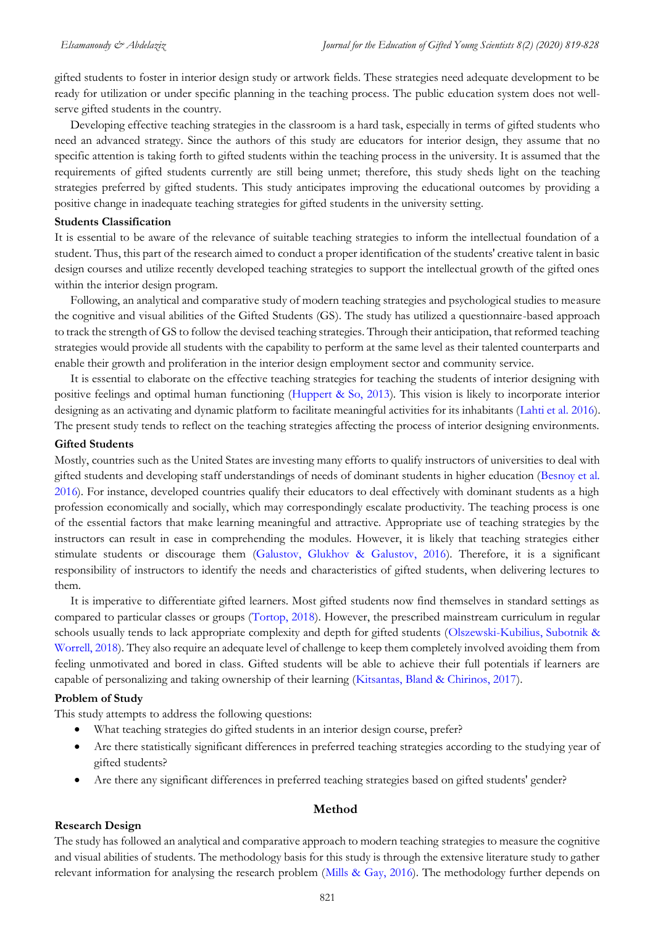gifted students to foster in interior design study or artwork fields. These strategies need adequate development to be ready for utilization or under specific planning in the teaching process. The public education system does not wellserve gifted students in the country.

Developing effective teaching strategies in the classroom is a hard task, especially in terms of gifted students who need an advanced strategy. Since the authors of this study are educators for interior design, they assume that no specific attention is taking forth to gifted students within the teaching process in the university. It is assumed that the requirements of gifted students currently are still being unmet; therefore, this study sheds light on the teaching strategies preferred by gifted students. This study anticipates improving the educational outcomes by providing a positive change in inadequate teaching strategies for gifted students in the university setting.

#### **Students Classification**

It is essential to be aware of the relevance of suitable teaching strategies to inform the intellectual foundation of a student. Thus, this part of the research aimed to conduct a proper identification of the students' creative talent in basic design courses and utilize recently developed teaching strategies to support the intellectual growth of the gifted ones within the interior design program.

Following, an analytical and comparative study of modern teaching strategies and psychological studies to measure the cognitive and visual abilities of the Gifted Students (GS). The study has utilized a questionnaire-based approach to track the strength of GS to follow the devised teaching strategies. Through their anticipation, that reformed teaching strategies would provide all students with the capability to perform at the same level as their talented counterparts and enable their growth and proliferation in the interior design employment sector and community service.

It is essential to elaborate on the effective teaching strategies for teaching the students of interior designing with positive feelings and optimal human functioning [\(Huppert & So, 2013\)](#page-8-0). This vision is likely to incorporate interior designing as an activating and dynamic platform to facilitate meaningful activities for its inhabitants [\(Lahti et al. 2016\)](#page-8-0). The present study tends to reflect on the teaching strategies affecting the process of interior designing environments.

#### **Gifted Students**

Mostly, countries such as the United States are investing many efforts to qualify instructors of universities to deal with gifted students and developing staff understandings of needs of dominant students in higher education [\(Besnoy et al.](#page-8-0)  [2016\)](#page-8-0). For instance, developed countries qualify their educators to deal effectively with dominant students as a high profession economically and socially, which may correspondingly escalate productivity. The teaching process is one of the essential factors that make learning meaningful and attractive. Appropriate use of teaching strategies by the instructors can result in ease in comprehending the modules. However, it is likely that teaching strategies either stimulate students or discourage them [\(Galustov, Glukhov & Galustov, 2016\)](#page-8-0). Therefore, it is a significant responsibility of instructors to identify the needs and characteristics of gifted students, when delivering lectures to them.

It is imperative to differentiate gifted learners. Most gifted students now find themselves in standard settings as compared to particular classes or groups [\(Tortop, 2018\)](#page-8-0). However, the prescribed mainstream curriculum in regular schools usually tends to lack appropriate complexity and depth for gifted students [\(Olszewski-Kubilius, Subotnik &](#page-8-0)  [Worrell, 2018\)](#page-8-0). They also require an adequate level of challenge to keep them completely involved avoiding them from feeling unmotivated and bored in class. Gifted students will be able to achieve their full potentials if learners are capable of personalizing and taking ownership of their learning [\(Kitsantas, Bland & Chirinos, 2017\)](#page-8-0).

### **Problem of Study**

This study attempts to address the following questions:

- What teaching strategies do gifted students in an interior design course, prefer?
- Are there statistically significant differences in preferred teaching strategies according to the studying year of gifted students?
- Are there any significant differences in preferred teaching strategies based on gifted students' gender?

#### **Method**

#### **Research Design**

The study has followed an analytical and comparative approach to modern teaching strategies to measure the cognitive and visual abilities of students. The methodology basis for this study is through the extensive literature study to gather relevant information for analysing the research problem [\(Mills & Gay, 2016\)](#page-8-0). The methodology further depends on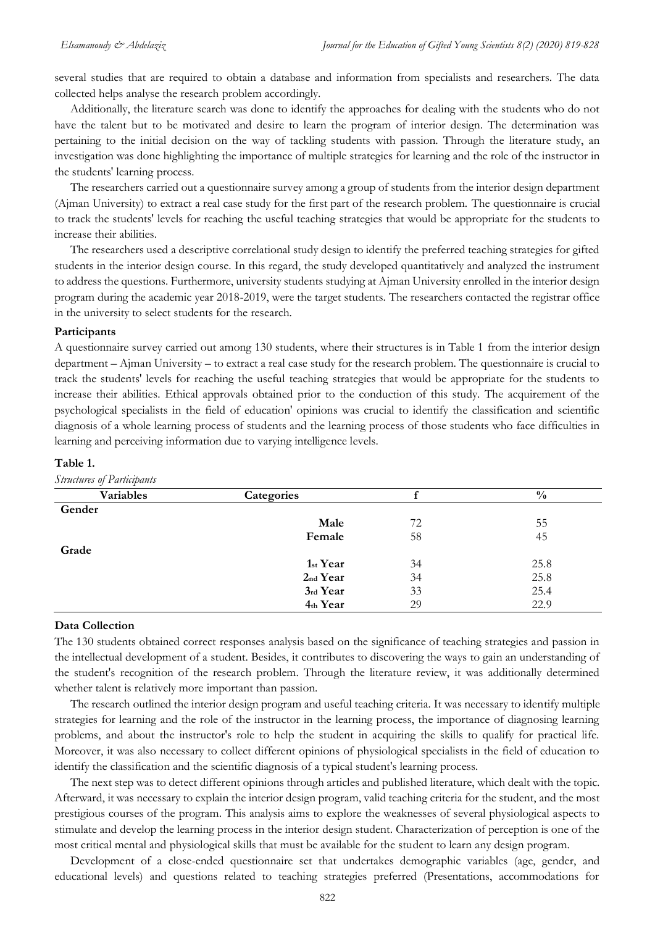several studies that are required to obtain a database and information from specialists and researchers. The data collected helps analyse the research problem accordingly.

Additionally, the literature search was done to identify the approaches for dealing with the students who do not have the talent but to be motivated and desire to learn the program of interior design. The determination was pertaining to the initial decision on the way of tackling students with passion. Through the literature study, an investigation was done highlighting the importance of multiple strategies for learning and the role of the instructor in the students' learning process.

The researchers carried out a questionnaire survey among a group of students from the interior design department (Ajman University) to extract a real case study for the first part of the research problem. The questionnaire is crucial to track the students' levels for reaching the useful teaching strategies that would be appropriate for the students to increase their abilities.

The researchers used a descriptive correlational study design to identify the preferred teaching strategies for gifted students in the interior design course. In this regard, the study developed quantitatively and analyzed the instrument to address the questions. Furthermore, university students studying at Ajman University enrolled in the interior design program during the academic year 2018-2019, were the target students. The researchers contacted the registrar office in the university to select students for the research.

#### **Participants**

A questionnaire survey carried out among 130 students, where their structures is in Table 1 from the interior design department – Ajman University – to extract a real case study for the research problem. The questionnaire is crucial to track the students' levels for reaching the useful teaching strategies that would be appropriate for the students to increase their abilities. Ethical approvals obtained prior to the conduction of this study. The acquirement of the psychological specialists in the field of education' opinions was crucial to identify the classification and scientific diagnosis of a whole learning process of students and the learning process of those students who face difficulties in learning and perceiving information due to varying intelligence levels.

### **Table 1.**

*Structures of Participants* 

| $\overline{ }$ |            |    |               |  |
|----------------|------------|----|---------------|--|
| Variables      | Categories |    | $\frac{0}{0}$ |  |
| Gender         |            |    |               |  |
|                | Male       | 72 | 55            |  |
|                | Female     | 58 | 45            |  |
| Grade          |            |    |               |  |
|                | 1st Year   | 34 | 25.8          |  |
|                | 2nd Year   | 34 | 25.8          |  |
|                | 3rd Year   | 33 | 25.4          |  |
|                | 4th Year   | 29 | 22.9          |  |

#### **Data Collection**

The 130 students obtained correct responses analysis based on the significance of teaching strategies and passion in the intellectual development of a student. Besides, it contributes to discovering the ways to gain an understanding of the student's recognition of the research problem. Through the literature review, it was additionally determined whether talent is relatively more important than passion.

The research outlined the interior design program and useful teaching criteria. It was necessary to identify multiple strategies for learning and the role of the instructor in the learning process, the importance of diagnosing learning problems, and about the instructor's role to help the student in acquiring the skills to qualify for practical life. Moreover, it was also necessary to collect different opinions of physiological specialists in the field of education to identify the classification and the scientific diagnosis of a typical student's learning process.

The next step was to detect different opinions through articles and published literature, which dealt with the topic. Afterward, it was necessary to explain the interior design program, valid teaching criteria for the student, and the most prestigious courses of the program. This analysis aims to explore the weaknesses of several physiological aspects to stimulate and develop the learning process in the interior design student. Characterization of perception is one of the most critical mental and physiological skills that must be available for the student to learn any design program.

Development of a close-ended questionnaire set that undertakes demographic variables (age, gender, and educational levels) and questions related to teaching strategies preferred (Presentations, accommodations for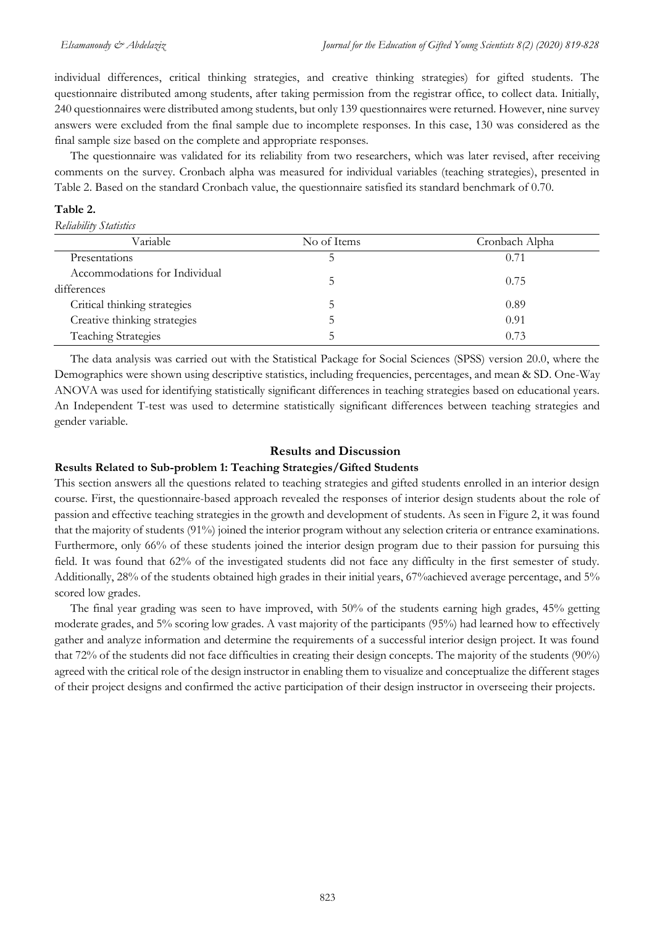individual differences, critical thinking strategies, and creative thinking strategies) for gifted students. The questionnaire distributed among students, after taking permission from the registrar office, to collect data. Initially, 240 questionnaires were distributed among students, but only 139 questionnaires were returned. However, nine survey answers were excluded from the final sample due to incomplete responses. In this case, 130 was considered as the final sample size based on the complete and appropriate responses.

The questionnaire was validated for its reliability from two researchers, which was later revised, after receiving comments on the survey. Cronbach alpha was measured for individual variables (teaching strategies), presented in Table 2. Based on the standard Cronbach value, the questionnaire satisfied its standard benchmark of 0.70.

## **Table 2.**

*Reliability Statistics* 

| No of Items | Cronbach Alpha |  |  |  |  |
|-------------|----------------|--|--|--|--|
|             | 0.71           |  |  |  |  |
|             | 0.75           |  |  |  |  |
|             |                |  |  |  |  |
|             | 0.89           |  |  |  |  |
|             | 0.91           |  |  |  |  |
|             | 0.73           |  |  |  |  |
|             |                |  |  |  |  |

The data analysis was carried out with the Statistical Package for Social Sciences (SPSS) version 20.0, where the Demographics were shown using descriptive statistics, including frequencies, percentages, and mean & SD. One-Way ANOVA was used for identifying statistically significant differences in teaching strategies based on educational years. An Independent T-test was used to determine statistically significant differences between teaching strategies and gender variable.

## **Results and Discussion**

## **Results Related to Sub-problem 1: Teaching Strategies/Gifted Students**

This section answers all the questions related to teaching strategies and gifted students enrolled in an interior design course. First, the questionnaire-based approach revealed the responses of interior design students about the role of passion and effective teaching strategies in the growth and development of students. As seen in Figure 2, it was found that the majority of students (91%) joined the interior program without any selection criteria or entrance examinations. Furthermore, only 66% of these students joined the interior design program due to their passion for pursuing this field. It was found that 62% of the investigated students did not face any difficulty in the first semester of study. Additionally, 28% of the students obtained high grades in their initial years, 67%achieved average percentage, and 5% scored low grades.

The final year grading was seen to have improved, with 50% of the students earning high grades, 45% getting moderate grades, and 5% scoring low grades. A vast majority of the participants (95%) had learned how to effectively gather and analyze information and determine the requirements of a successful interior design project. It was found that 72% of the students did not face difficulties in creating their design concepts. The majority of the students (90%) agreed with the critical role of the design instructor in enabling them to visualize and conceptualize the different stages of their project designs and confirmed the active participation of their design instructor in overseeing their projects.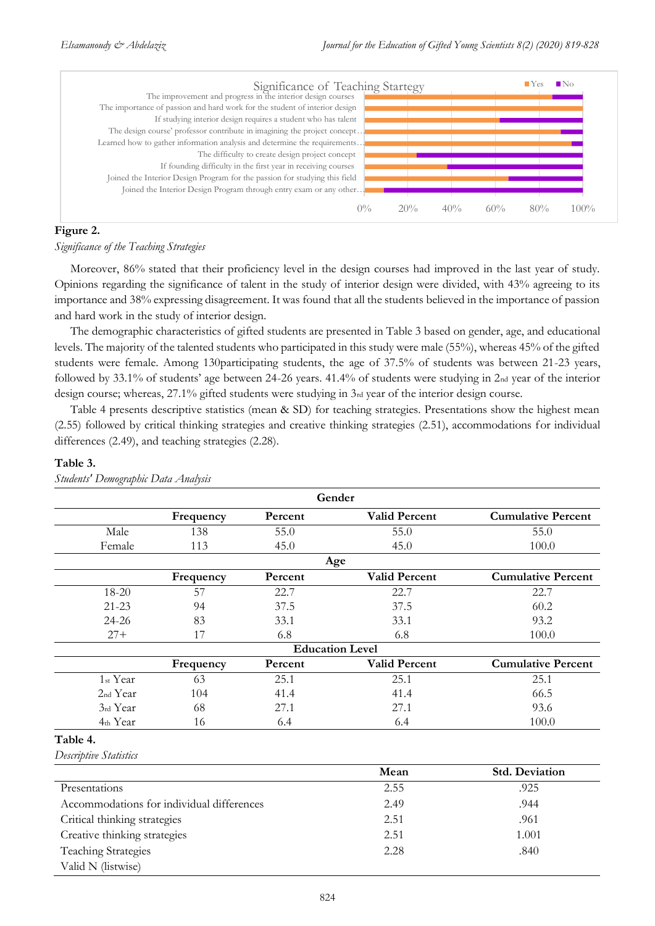

#### **Figure 2.**

#### *Significance of the Teaching Strategies*

Moreover, 86% stated that their proficiency level in the design courses had improved in the last year of study. Opinions regarding the significance of talent in the study of interior design were divided, with 43% agreeing to its importance and 38% expressing disagreement. It was found that all the students believed in the importance of passion and hard work in the study of interior design.

The demographic characteristics of gifted students are presented in Table 3 based on gender, age, and educational levels. The majority of the talented students who participated in this study were male (55%), whereas 45% of the gifted students were female. Among 130participating students, the age of 37.5% of students was between 21-23 years, followed by 33.1% of students' age between 24-26 years. 41.4% of students were studying in 2nd year of the interior design course; whereas, 27.1% gifted students were studying in 3rd year of the interior design course.

Table 4 presents descriptive statistics (mean & SD) for teaching strategies. Presentations show the highest mean (2.55) followed by critical thinking strategies and creative thinking strategies (2.51), accommodations for individual differences (2.49), and teaching strategies (2.28).

#### **Table 3.**

| Gender                 |           |         |                      |                           |  |
|------------------------|-----------|---------|----------------------|---------------------------|--|
|                        | Frequency | Percent | <b>Valid Percent</b> | <b>Cumulative Percent</b> |  |
| Male                   | 138       | 55.0    | 55.0                 | 55.0                      |  |
| Female                 | 113       | 45.0    | 45.0                 | 100.0                     |  |
| Age                    |           |         |                      |                           |  |
|                        | Frequency | Percent | <b>Valid Percent</b> | <b>Cumulative Percent</b> |  |
| $18 - 20$              | 57        | 22.7    | 22.7                 | 22.7                      |  |
| $21 - 23$              | 94        | 37.5    | 37.5                 | 60.2                      |  |
| $24 - 26$              | 83        | 33.1    | 33.1                 | 93.2                      |  |
| $27+$                  | 17        | 6.8     | 6.8                  | 100.0                     |  |
| <b>Education Level</b> |           |         |                      |                           |  |
|                        | Frequency | Percent | <b>Valid Percent</b> | <b>Cumulative Percent</b> |  |
| 1 <sub>st</sub> Year   | 63        | 25.1    | 25.1                 | 25.1                      |  |
| 2 <sub>nd</sub> Year   | 104       | 41.4    | 41.4                 | 66.5                      |  |
| 3rd Year               | 68        | 27.1    | 27.1                 | 93.6                      |  |
| 4th Year               | 16        | 6.4     | 6.4                  | 100.0                     |  |

*Students' Demographic Data Analysis* 

### **Table 4.**

*Descriptive Statistics* 

|                                           | Mean | <b>Std. Deviation</b> |
|-------------------------------------------|------|-----------------------|
| Presentations                             | 2.55 | .925                  |
| Accommodations for individual differences | 2.49 | .944                  |
| Critical thinking strategies              | 2.51 | .961                  |
| Creative thinking strategies              | 2.51 | 1.001                 |
| <b>Teaching Strategies</b>                | 2.28 | .840                  |
| Valid N (listwise)                        |      |                       |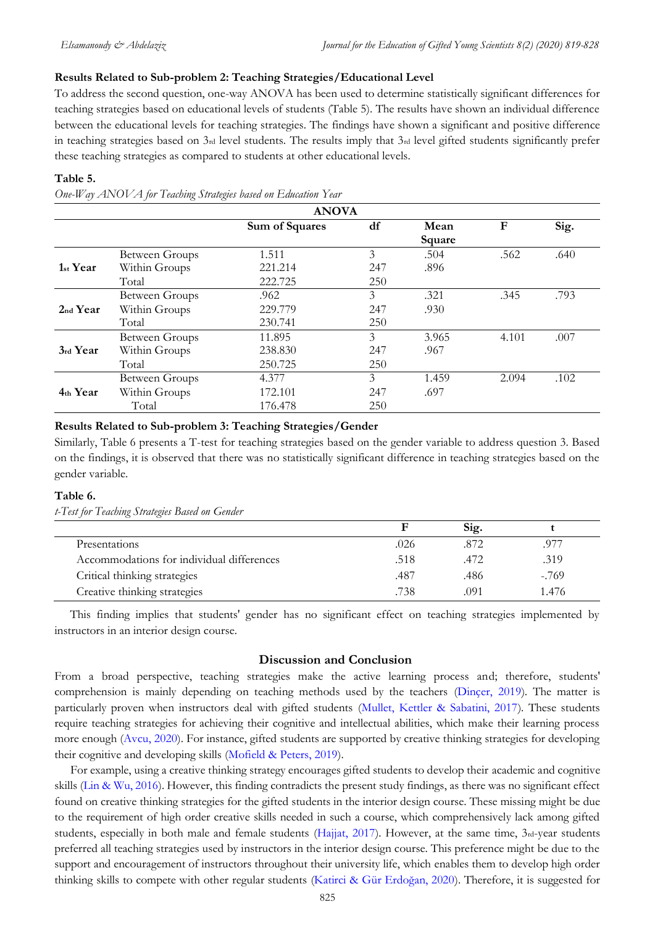## **Results Related to Sub-problem 2: Teaching Strategies/Educational Level**

To address the second question, one-way ANOVA has been used to determine statistically significant differences for teaching strategies based on educational levels of students (Table 5). The results have shown an individual difference between the educational levels for teaching strategies. The findings have shown a significant and positive difference in teaching strategies based on 3rd level students. The results imply that 3rd level gifted students significantly prefer these teaching strategies as compared to students at other educational levels.

#### **Table 5.**

*One-Way ANOVA for Teaching Strategies based on Education Year* 

| <b>ANOVA</b>         |                       |                |     |        |       |      |
|----------------------|-----------------------|----------------|-----|--------|-------|------|
|                      |                       | Sum of Squares | df  | Mean   | F     | Sig. |
|                      |                       |                |     | Square |       |      |
|                      | Between Groups        | 1.511          | 3   | .504   | .562  | .640 |
| 1 <sub>st</sub> Year | Within Groups         | 221.214        | 247 | .896   |       |      |
|                      | Total                 | 222.725        | 250 |        |       |      |
|                      | <b>Between Groups</b> | .962           | 3   | .321   | .345  | .793 |
| 2 <sub>nd</sub> Year | Within Groups         | 229.779        | 247 | .930   |       |      |
|                      | Total                 | 230.741        | 250 |        |       |      |
|                      | <b>Between Groups</b> | 11.895         | 3   | 3.965  | 4.101 | .007 |
| 3rd Year             | Within Groups         | 238.830        | 247 | .967   |       |      |
|                      | Total                 | 250.725        | 250 |        |       |      |
|                      | <b>Between Groups</b> | 4.377          | 3   | 1.459  | 2.094 | .102 |
| 4th Year             | Within Groups         | 172.101        | 247 | .697   |       |      |
|                      | Total                 | 176.478        | 250 |        |       |      |

#### **Results Related to Sub-problem 3: Teaching Strategies/Gender**

Similarly, Table 6 presents a T-test for teaching strategies based on the gender variable to address question 3. Based on the findings, it is observed that there was no statistically significant difference in teaching strategies based on the gender variable.

## **Table 6.**

*t-Test for Teaching Strategies Based on Gender*

|                                           |      | Sig. |         |
|-------------------------------------------|------|------|---------|
| Presentations                             | .026 | .872 | .977    |
| Accommodations for individual differences | .518 | .472 | .319    |
| Critical thinking strategies              | .487 | .486 | $-.769$ |
| Creative thinking strategies              | .738 | .091 | 1.476   |

This finding implies that students' gender has no significant effect on teaching strategies implemented by instructors in an interior design course.

## **Discussion and Conclusion**

From a broad perspective, teaching strategies make the active learning process and; therefore, students' comprehension is mainly depending on teaching methods used by the teachers [\(Dinçer, 2019\)](#page-8-0). The matter is particularly proven when instructors deal with gifted students [\(Mullet, Kettler & Sabatini, 2017\)](#page-8-0). These students require teaching strategies for achieving their cognitive and intellectual abilities, which make their learning process more enough [\(Avcu, 2020\)](#page-8-0). For instance, gifted students are supported by creative thinking strategies for developing their cognitive and developing skills [\(Mofield & Peters, 2019\)](#page-8-0).

For example, using a creative thinking strategy encourages gifted students to develop their academic and cognitive skills [\(Lin & Wu, 2016\)](#page-8-0). However, this finding contradicts the present study findings, as there was no significant effect found on creative thinking strategies for the gifted students in the interior design course. These missing might be due to the requirement of high order creative skills needed in such a course, which comprehensively lack among gifted students, especially in both male and female students [\(Hajjat, 2017\)](#page-8-0). However, at the same time,  $3<sub>rd</sub>$ -year students preferred all teaching strategies used by instructors in the interior design course. This preference might be due to the support and encouragement of instructors throughout their university life, which enables them to develop high order thinking skills to compete with other regular students ([Katirci & Gür Erdoğan, 2020](#page-8-0)). Therefore, it is suggested for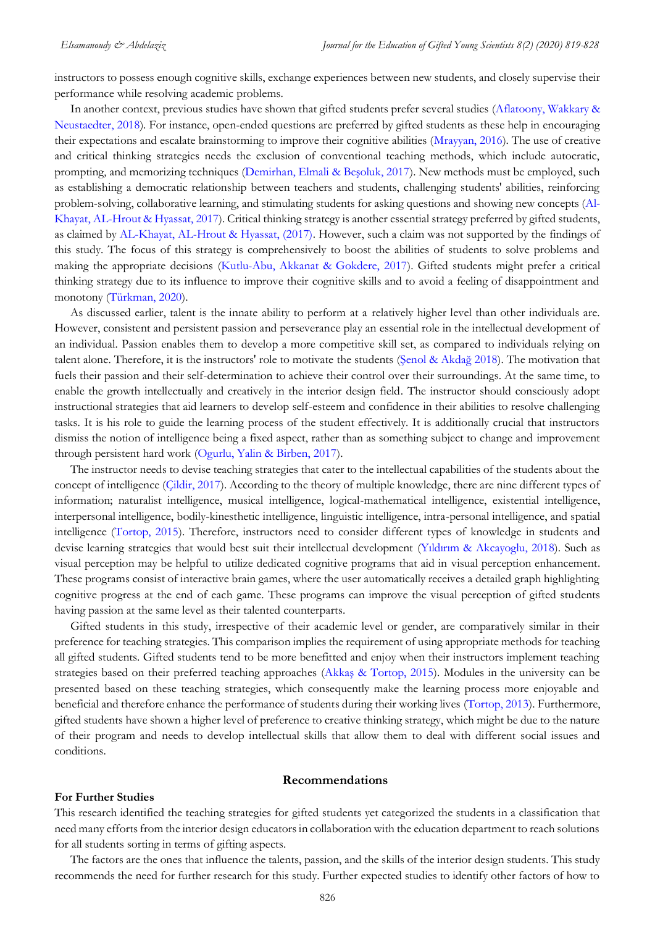instructors to possess enough cognitive skills, exchange experiences between new students, and closely supervise their performance while resolving academic problems.

In another context, previous studies have shown that gifted students prefer several studies [\(Aflatoony, Wakkary &](#page-8-0)  [Neustaedter, 2018\)](#page-8-0). For instance, open-ended questions are preferred by gifted students as these help in encouraging their expectations and escalate brainstorming to improve their cognitive abilities [\(Mrayyan, 2016\)](#page-8-0). The use of creative and critical thinking strategies needs the exclusion of conventional teaching methods, which include autocratic, prompting, and memorizing techniques ([Demirhan, Elmali & Beşoluk, 2017](#page-8-0)). New methods must be employed, such as establishing a democratic relationship between teachers and students, challenging students' abilities, reinforcing problem-solving, collaborative learning, and stimulating students for asking questions and showing new concepts [\(Al-](#page-8-0)[Khayat, AL-Hrout & Hyassat, 2017\)](#page-8-0). Critical thinking strategy is another essential strategy preferred by gifted students, as claimed by [AL-Khayat, AL-Hrout & Hyassat, \(2017\).](#page-8-0) However, such a claim was not supported by the findings of this study. The focus of this strategy is comprehensively to boost the abilities of students to solve problems and making the appropriate decisions [\(Kutlu-Abu, Akkanat & Gokdere, 2017\)](#page-8-0). Gifted students might prefer a critical thinking strategy due to its influence to improve their cognitive skills and to avoid a feeling of disappointment and monotony [\(Türkman, 2020\)](#page-8-0).

As discussed earlier, talent is the innate ability to perform at a relatively higher level than other individuals are. However, consistent and persistent passion and perseverance play an essential role in the intellectual development of an individual. Passion enables them to develop a more competitive skill set, as compared to individuals relying on talent alone. Therefore, it is the instructors' role to motivate the students ([Şenol & Akdağ 2018](#page-8-0)). The motivation that fuels their passion and their self-determination to achieve their control over their surroundings. At the same time, to enable the growth intellectually and creatively in the interior design field. The instructor should consciously adopt instructional strategies that aid learners to develop self-esteem and confidence in their abilities to resolve challenging tasks. It is his role to guide the learning process of the student effectively. It is additionally crucial that instructors dismiss the notion of intelligence being a fixed aspect, rather than as something subject to change and improvement through persistent hard work [\(Ogurlu, Yalin & Birben, 2017\)](#page-8-0).

The instructor needs to devise teaching strategies that cater to the intellectual capabilities of the students about the concept of intelligence [\(Çildir, 2017\)](#page-8-0). According to the theory of multiple knowledge, there are nine different types of information; naturalist intelligence, musical intelligence, logical-mathematical intelligence, existential intelligence, interpersonal intelligence, bodily-kinesthetic intelligence, linguistic intelligence, intra-personal intelligence, and spatial intelligence [\(Tortop, 2015\)](#page-8-0). Therefore, instructors need to consider different types of knowledge in students and devise learning strategies that would best suit their intellectual development ([Yıldırım & Akcayoglu, 2018](#page-8-0)). Such as visual perception may be helpful to utilize dedicated cognitive programs that aid in visual perception enhancement. These programs consist of interactive brain games, where the user automatically receives a detailed graph highlighting cognitive progress at the end of each game. These programs can improve the visual perception of gifted students having passion at the same level as their talented counterparts.

Gifted students in this study, irrespective of their academic level or gender, are comparatively similar in their preference for teaching strategies. This comparison implies the requirement of using appropriate methods for teaching all gifted students. Gifted students tend to be more benefitted and enjoy when their instructors implement teaching strategies based on their preferred teaching approaches (Akkaş [& Tortop, 2015\)](#page-8-0). Modules in the university can be presented based on these teaching strategies, which consequently make the learning process more enjoyable and beneficial and therefore enhance the performance of students during their working lives [\(Tortop, 2013\)](#page-8-0). Furthermore, gifted students have shown a higher level of preference to creative thinking strategy, which might be due to the nature of their program and needs to develop intellectual skills that allow them to deal with different social issues and conditions.

#### **Recommendations**

#### **For Further Studies**

This research identified the teaching strategies for gifted students yet categorized the students in a classification that need many efforts from the interior design educators in collaboration with the education department to reach solutions for all students sorting in terms of gifting aspects.

The factors are the ones that influence the talents, passion, and the skills of the interior design students. This study recommends the need for further research for this study. Further expected studies to identify other factors of how to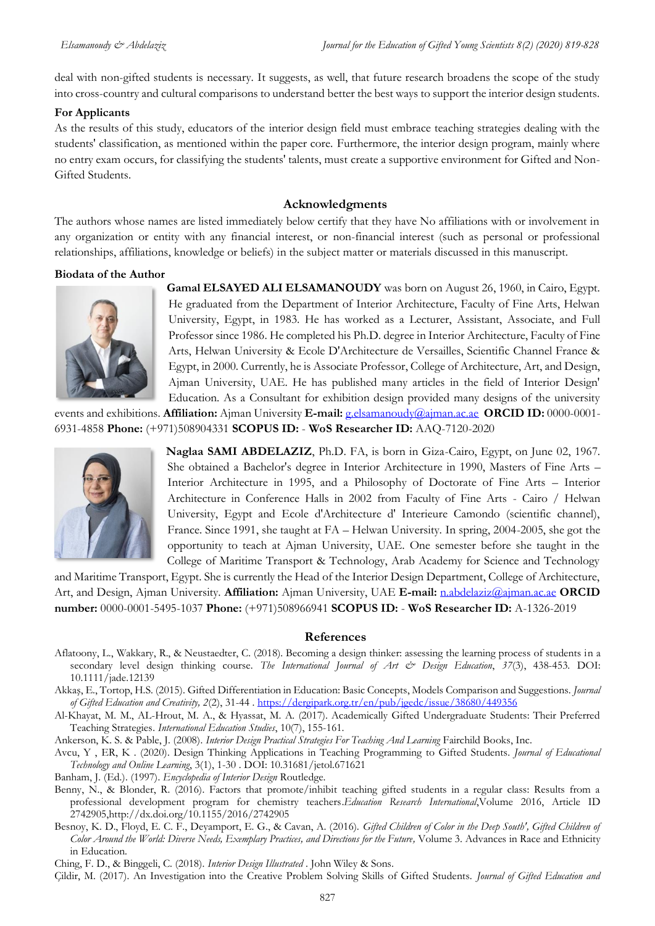deal with non-gifted students is necessary. It suggests, as well, that future research broadens the scope of the study into cross-country and cultural comparisons to understand better the best ways to support the interior design students.

### **For Applicants**

As the results of this study, educators of the interior design field must embrace teaching strategies dealing with the students' classification, as mentioned within the paper core. Furthermore, the interior design program, mainly where no entry exam occurs, for classifying the students' talents, must create a supportive environment for Gifted and Non-Gifted Students.

## **Acknowledgments**

The authors whose names are listed immediately below certify that they have No affiliations with or involvement in any organization or entity with any financial interest, or non-financial interest (such as personal or professional relationships, affiliations, knowledge or beliefs) in the subject matter or materials discussed in this manuscript.

### **Biodata of the Author**



**Gamal ELSAYED ALI ELSAMANOUDY** was born on August 26, 1960, in Cairo, Egypt. He graduated from the Department of Interior Architecture, Faculty of Fine Arts, Helwan University, Egypt, in 1983. He has worked as a Lecturer, Assistant, Associate, and Full Professor since 1986. He completed his Ph.D. degree in Interior Architecture, Faculty of Fine Arts, Helwan University & Ecole D'Architecture de Versailles, Scientific Channel France & Egypt, in 2000. Currently, he is Associate Professor, College of Architecture, Art, and Design, Ajman University, UAE. He has published many articles in the field of Interior Design' Education. As a Consultant for exhibition design provided many designs of the university

events and exhibitions. **Affiliation:** Ajman University **E-mail:** [g.elsamanoudy@ajman.ac.ae](mailto:g.elsamanoudy@ajman.ac.ae) **ORCID ID:** 0000-0001- 6931-4858 **Phone:** (+971)508904331 **SCOPUS ID:** - **WoS Researcher ID:** AAQ-7120-2020



**Naglaa SAMI ABDELAZIZ**, Ph.D. FA, is born in Giza-Cairo, Egypt, on June 02, 1967. She obtained a Bachelor's degree in Interior Architecture in 1990, Masters of Fine Arts – Interior Architecture in 1995, and a Philosophy of Doctorate of Fine Arts – Interior Architecture in Conference Halls in 2002 from Faculty of Fine Arts - Cairo / Helwan University, Egypt and Ecole d'Architecture d' Interieure Camondo (scientific channel), France. Since 1991, she taught at FA – Helwan University. In spring, 2004-2005, she got the opportunity to teach at Ajman University, UAE. One semester before she taught in the College of Maritime Transport & Technology, Arab Academy for Science and Technology

and Maritime Transport, Egypt. She is currently the Head of the Interior Design Department, College of Architecture, Art, and Design, Ajman University. **Affiliation:** Ajman University, UAE **E-mail:** [n.abdelaziz@ajman.ac.ae](mailto:n.abdelaziz@ajman.ac.ae) **ORCID number:** 0000-0001-5495-1037 **Phone:** (+971)508966941 **SCOPUS ID:** - **WoS Researcher ID:** A-1326-2019

#### <span id="page-8-0"></span>**References**

Aflatoony, L., Wakkary, R., & Neustaedter, C. (2018). Becoming a design thinker: assessing the learning process of students in a secondary level design thinking course. The International Journal of Art & Design Education, 37(3), 438-453. DOI: 10.1111/jade.12139

Akkaş, E., Tortop, H.S. (2015). Gifted Differentiation in Education: Basic Concepts, Models Comparison and Suggestions. *Journal of Gifted Education and Creativity, 2*(2), 31-44 .<https://dergipark.org.tr/en/pub/jgedc/issue/38680/449356>

Al-Khayat, M. M., AL-Hrout, M. A., & Hyassat, M. A. (2017). Academically Gifted Undergraduate Students: Their Preferred Teaching Strategies. *International Education Studies*, 10(7), 155-161.

Ankerson, K. S. & Pable, J. (2008). *Interior Design Practical Strategies For Teaching And Learning Fairchild Books*, Inc.

Avcu, Y , ER, K . (2020). Design Thinking Applications in Teaching Programming to Gifted Students. *Journal of Educational Technology and Online Learning*, 3(1), 1-30 . DOI: 10.31681/jetol.671621

Banham, J. (Ed.). (1997). *Encyclopedia of Interior Design* Routledge.

Benny, N., & Blonder, R. (2016). Factors that promote/inhibit teaching gifted students in a regular class: Results from a professional development program for chemistry teachers.*Education Research International*,Volume 2016, Article ID 2742905,http://dx.doi.org/10.1155/2016/2742905

Besnoy, K. D., Floyd, E. C. F., Deyamport, E. G., & Cavan, A. (2016). *Gifted Children of Color in the Deep South', Gifted Children of Color Around the World: Diverse Needs, Exemplary Practices, and Directions for the Future,* Volume 3. Advances in Race and Ethnicity in Education.

Ching, F. D., & Binggeli, C. (2018). *Interior Design Illustrated* . John Wiley & Sons.

Çildir, M. (2017). An Investigation into the Creative Problem Solving Skills of Gifted Students. *Journal of Gifted Education and*